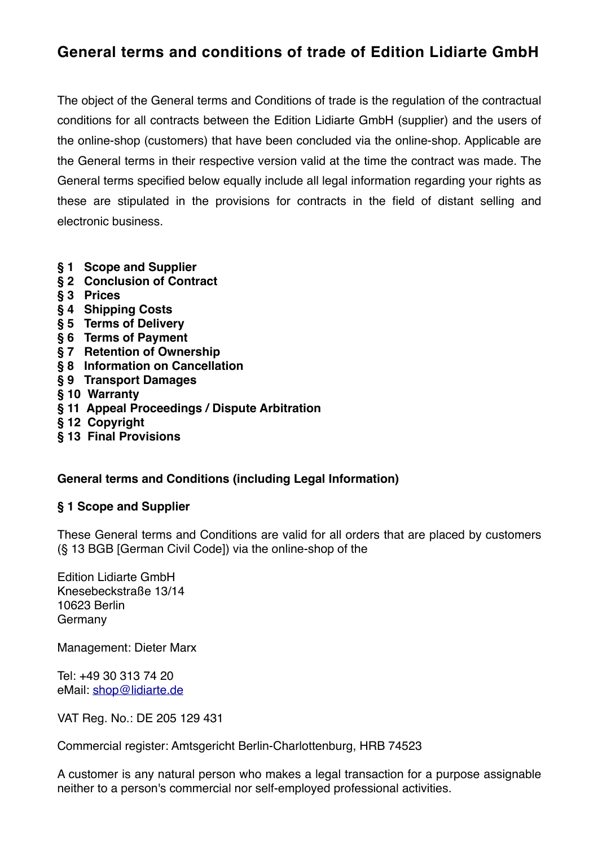# **General terms and conditions of trade of Edition Lidiarte GmbH**

The object of the General terms and Conditions of trade is the regulation of the contractual conditions for all contracts between the Edition Lidiarte GmbH (supplier) and the users of the online-shop (customers) that have been concluded via the online-shop. Applicable are the General terms in their respective version valid at the time the contract was made. The General terms specified below equally include all legal information regarding your rights as these are stipulated in the provisions for contracts in the field of distant selling and electronic business.

- **§ 1 Scope and Supplier**
- **§ 2 Conclusion of Contract**
- **§ 3 Prices**
- **§ 4 Shipping Costs**
- **§ 5 Terms of Delivery**
- **§ 6 Terms of Payment**
- **§ 7 Retention of Ownership**
- **§ 8 Information on Cancellation**
- **§ 9 Transport Damages**
- **§ 10 Warranty**
- **§ 11 Appeal Proceedings / Dispute Arbitration**
- **§ 12 Copyright**
- **§ 13 Final Provisions**

#### **General terms and Conditions (including Legal Information)**

#### **§ 1 Scope and Supplier**

These General terms and Conditions are valid for all orders that are placed by customers (§ 13 BGB [German Civil Code]) via the online-shop of the

Edition Lidiarte GmbH Knesebeckstraße 13/14 10623 Berlin Germany

Management: Dieter Marx

Tel: +49 30 313 74 20 eMail: [shop@lidiarte.de](mailto:shop@lidiarte.de)

VAT Reg. No.: DE 205 129 431

Commercial register: Amtsgericht Berlin-Charlottenburg, HRB 74523

A customer is any natural person who makes a legal transaction for a purpose assignable neither to a person's commercial nor self-employed professional activities.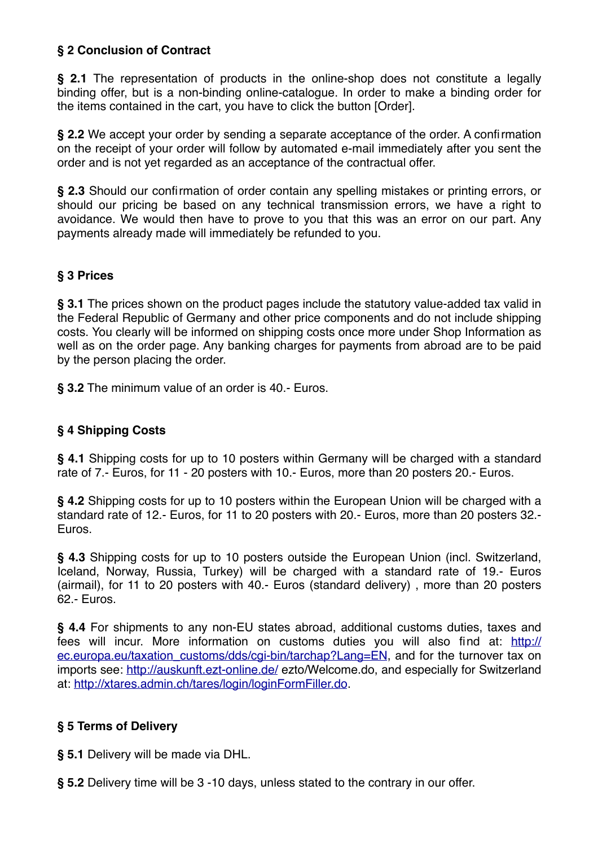## **§ 2 Conclusion of Contract**

**§ 2.1** The representation of products in the online-shop does not constitute a legally binding offer, but is a non-binding online-catalogue. In order to make a binding order for the items contained in the cart, you have to click the button [Order].

**§ 2.2** We accept your order by sending a separate acceptance of the order. A confirmation on the receipt of your order will follow by automated e-mail immediately after you sent the order and is not yet regarded as an acceptance of the contractual offer.

**§ 2.3** Should our confirmation of order contain any spelling mistakes or printing errors, or should our pricing be based on any technical transmission errors, we have a right to avoidance. We would then have to prove to you that this was an error on our part. Any payments already made will immediately be refunded to you.

# **§ 3 Prices**

**§ 3.1** The prices shown on the product pages include the statutory value-added tax valid in the Federal Republic of Germany and other price components and do not include shipping costs. You clearly will be informed on shipping costs once more under Shop Information as well as on the order page. Any banking charges for payments from abroad are to be paid by the person placing the order.

**§ 3.2** The minimum value of an order is 40.- Euros.

# **§ 4 Shipping Costs**

**§ 4.1** Shipping costs for up to 10 posters within Germany will be charged with a standard rate of 7.- Euros, for 11 - 20 posters with 10.- Euros, more than 20 posters 20.- Euros.

**§ 4.2** Shipping costs for up to 10 posters within the European Union will be charged with a standard rate of 12.- Euros, for 11 to 20 posters with 20.- Euros, more than 20 posters 32.- Euros.

**§ 4.3** Shipping costs for up to 10 posters outside the European Union (incl. Switzerland, Iceland, Norway, Russia, Turkey) will be charged with a standard rate of 19.- Euros (airmail), for 11 to 20 posters with 40.- Euros (standard delivery) , more than 20 posters 62.- Euros.

**§ 4.4** For shipments to any non-EU states abroad, additional customs duties, taxes and fees will incur. More information on customs duties you will also find at: [http://](http://ec.europa.eu/taxation_customs/dds/cgi-bin/tarchap?Lang=EN) [ec.europa.eu/taxation\\_customs/dds/cgi-bin/tarchap?Lang=EN](http://ec.europa.eu/taxation_customs/dds/cgi-bin/tarchap?Lang=EN), and for the turnover tax on imports see: <http://auskunft.ezt-online.de/> ezto/Welcome.do, and especially for Switzerland at: [http://xtares.admin.ch/tares/login/loginFormFiller.do.](http://xtares.admin.ch/tares/login/loginFormFiller.do)

## **§ 5 Terms of Delivery**

**§ 5.1** Delivery will be made via DHL.

**§ 5.2** Delivery time will be 3 -10 days, unless stated to the contrary in our offer.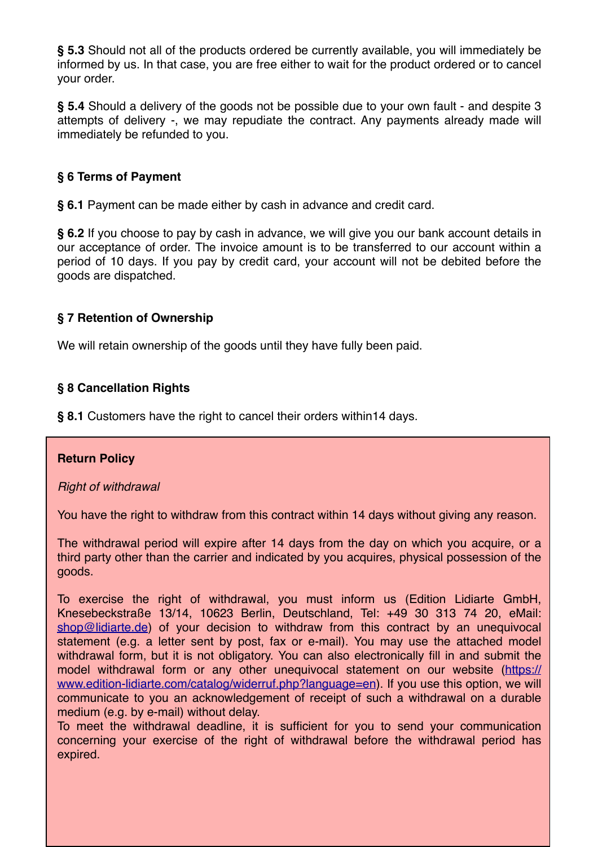**§ 5.3** Should not all of the products ordered be currently available, you will immediately be informed by us. In that case, you are free either to wait for the product ordered or to cancel your order.

**§ 5.4** Should a delivery of the goods not be possible due to your own fault - and despite 3 attempts of delivery -, we may repudiate the contract. Any payments already made will immediately be refunded to you.

## **§ 6 Terms of Payment**

**§ 6.1** Payment can be made either by cash in advance and credit card.

**§ 6.2** If you choose to pay by cash in advance, we will give you our bank account details in our acceptance of order. The invoice amount is to be transferred to our account within a period of 10 days. If you pay by credit card, your account will not be debited before the goods are dispatched.

## **§ 7 Retention of Ownership**

We will retain ownership of the goods until they have fully been paid.

## **§ 8 Cancellation Rights**

**§ 8.1** Customers have the right to cancel their orders within14 days.

#### **Return Policy**

#### *Right of withdrawal*

You have the right to withdraw from this contract within 14 days without giving any reason.

The withdrawal period will expire after 14 days from the day on which you acquire, or a third party other than the carrier and indicated by you acquires, physical possession of the goods.

To exercise the right of withdrawal, you must inform us (Edition Lidiarte GmbH, Knesebeckstraße 13/14, 10623 Berlin, Deutschland, Tel: +49 30 313 74 20, eMail: [shop@lidiarte.de](mailto:shop@lidiarte.de)) of your decision to withdraw from this contract by an unequivocal statement (e.g. a letter sent by post, fax or e-mail). You may use the attached model withdrawal form, but it is not obligatory. You can also electronically fill in and submit the model withdrawal form or any other unequivocal statement on our website [\(https://](https://www.edition-lidiarte.com/catalog/widerruf.php?language=en) [www.edition-lidiarte.com/catalog/widerruf.php?language=en](https://www.edition-lidiarte.com/catalog/widerruf.php?language=en)). If you use this option, we will communicate to you an acknowledgement of receipt of such a withdrawal on a durable medium (e.g. by e-mail) without delay.

To meet the withdrawal deadline, it is sufficient for you to send your communication concerning your exercise of the right of withdrawal before the withdrawal period has expired.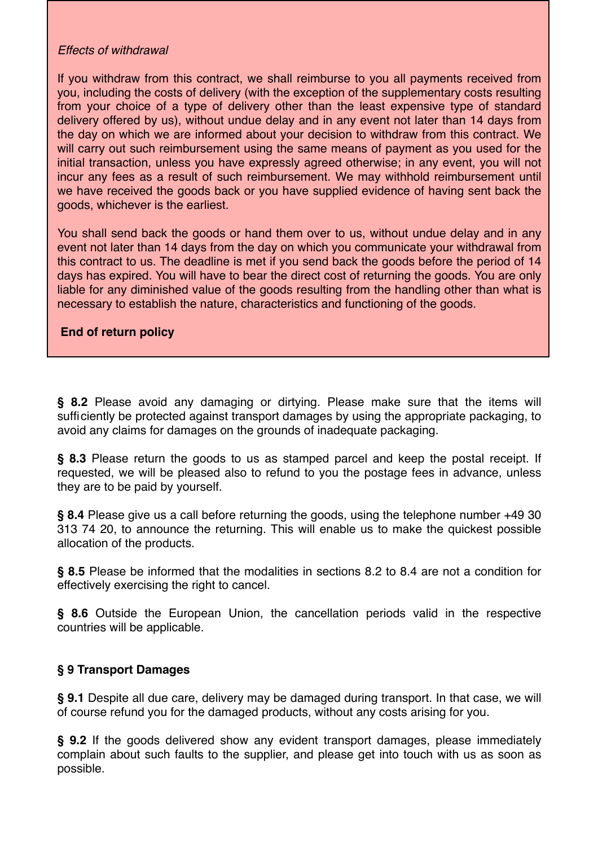#### *Effects of withdrawal*

If you withdraw from this contract, we shall reimburse to you all payments received from you, including the costs of delivery (with the exception of the supplementary costs resulting from your choice of a type of delivery other than the least expensive type of standard delivery offered by us), without undue delay and in any event not later than 14 days from the day on which we are informed about your decision to withdraw from this contract. We will carry out such reimbursement using the same means of payment as you used for the initial transaction, unless you have expressly agreed otherwise; in any event, you will not incur any fees as a result of such reimbursement. We may withhold reimbursement until we have received the goods back or you have supplied evidence of having sent back the goods, whichever is the earliest.

You shall send back the goods or hand them over to us, without undue delay and in any event not later than 14 days from the day on which you communicate your withdrawal from this contract to us. The deadline is met if you send back the goods before the period of 14 days has expired. You will have to bear the direct cost of returning the goods. You are only liable for any diminished value of the goods resulting from the handling other than what is necessary to establish the nature, characteristics and functioning of the goods.

## **End of return policy**

**§ 8.2** Please avoid any damaging or dirtying. Please make sure that the items will sufficiently be protected against transport damages by using the appropriate packaging, to avoid any claims for damages on the grounds of inadequate packaging.

**§ 8.3** Please return the goods to us as stamped parcel and keep the postal receipt. If requested, we will be pleased also to refund to you the postage fees in advance, unless they are to be paid by yourself.

**§ 8.4** Please give us a call before returning the goods, using the telephone number +49 30 313 74 20, to announce the returning. This will enable us to make the quickest possible allocation of the products.

**§ 8.5** Please be informed that the modalities in sections 8.2 to 8.4 are not a condition for effectively exercising the right to cancel.

**§ 8.6** Outside the European Union, the cancellation periods valid in the respective countries will be applicable.

#### **§ 9 Transport Damages**

**§ 9.1** Despite all due care, delivery may be damaged during transport. In that case, we will of course refund you for the damaged products, without any costs arising for you.

**§ 9.2** If the goods delivered show any evident transport damages, please immediately complain about such faults to the supplier, and please get into touch with us as soon as possible.